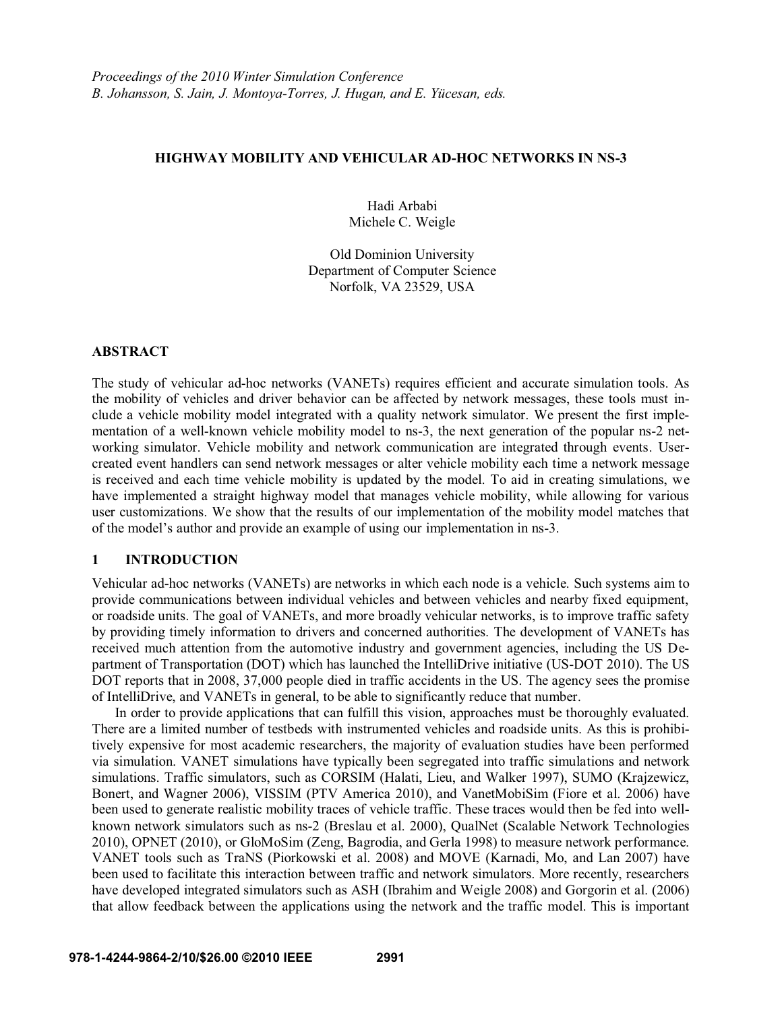### **HIGHWAY MOBILITY AND VEHICULAR AD-HOC NETWORKS IN NS-3**

Hadi Arbabi Michele C. Weigle

Old Dominion University Department of Computer Science Norfolk, VA 23529, USA

# **ABSTRACT**

The study of vehicular ad-hoc networks (VANETs) requires efficient and accurate simulation tools. As the mobility of vehicles and driver behavior can be affected by network messages, these tools must include a vehicle mobility model integrated with a quality network simulator. We present the first implementation of a well-known vehicle mobility model to ns-3, the next generation of the popular ns-2 networking simulator. Vehicle mobility and network communication are integrated through events. Usercreated event handlers can send network messages or alter vehicle mobility each time a network message is received and each time vehicle mobility is updated by the model. To aid in creating simulations, we have implemented a straight highway model that manages vehicle mobility, while allowing for various user customizations. We show that the results of our implementation of the mobility model matches that of the model's author and provide an example of using our implementation in ns-3.

### **1 INTRODUCTION**

Vehicular ad-hoc networks (VANETs) are networks in which each node is a vehicle. Such systems aim to provide communications between individual vehicles and between vehicles and nearby fixed equipment, or roadside units. The goal of VANETs, and more broadly vehicular networks, is to improve traffic safety by providing timely information to drivers and concerned authorities. The development of VANETs has received much attention from the automotive industry and government agencies, including the US Department of Transportation (DOT) which has launched the IntelliDrive initiative (US-DOT 2010). The US DOT reports that in 2008, 37,000 people died in traffic accidents in the US. The agency sees the promise of IntelliDrive, and VANETs in general, to be able to significantly reduce that number.

In order to provide applications that can fulfill this vision, approaches must be thoroughly evaluated. There are a limited number of testbeds with instrumented vehicles and roadside units. As this is prohibitively expensive for most academic researchers, the majority of evaluation studies have been performed via simulation. VANET simulations have typically been segregated into traffic simulations and network simulations. Traffic simulators, such as CORSIM (Halati, Lieu, and Walker 1997), SUMO (Krajzewicz, Bonert, and Wagner 2006), VISSIM (PTV America 2010), and VanetMobiSim (Fiore et al. 2006) have been used to generate realistic mobility traces of vehicle traffic. These traces would then be fed into wellknown network simulators such as ns-2 (Breslau et al. 2000), QualNet (Scalable Network Technologies 2010), OPNET (2010), or GloMoSim (Zeng, Bagrodia, and Gerla 1998) to measure network performance. VANET tools such as TraNS (Piorkowski et al. 2008) and MOVE (Karnadi, Mo, and Lan 2007) have been used to facilitate this interaction between traffic and network simulators. More recently, researchers have developed integrated simulators such as ASH (Ibrahim and Weigle 2008) and Gorgorin et al. (2006) that allow feedback between the applications using the network and the traffic model. This is important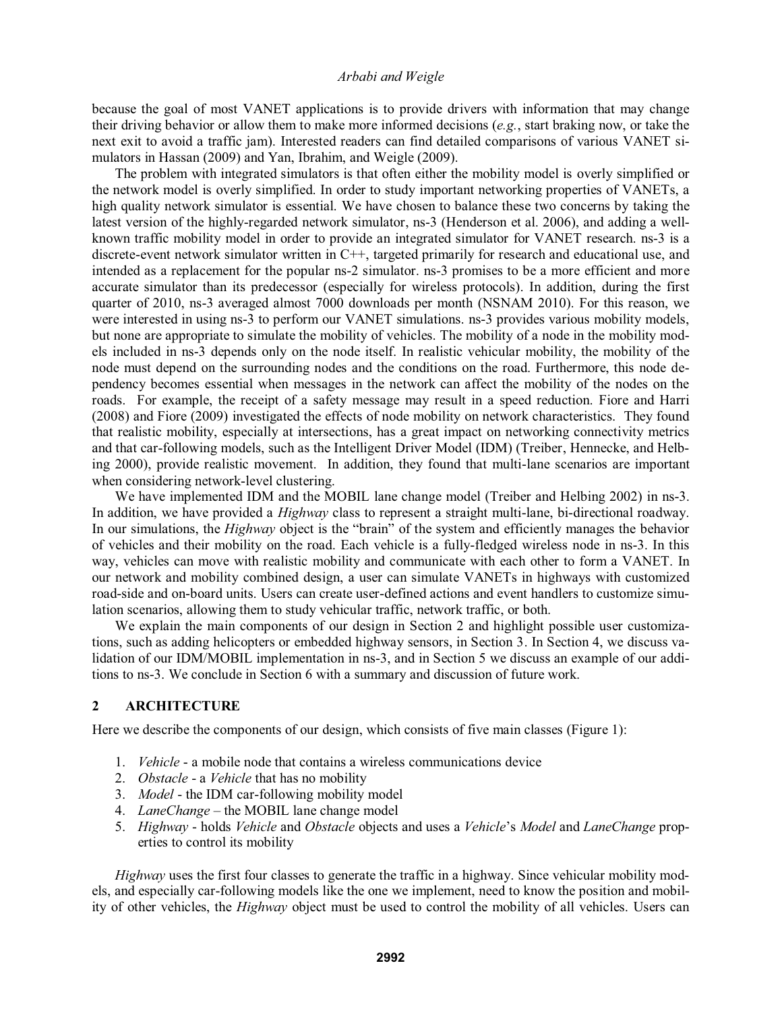because the goal of most VANET applications is to provide drivers with information that may change their driving behavior or allow them to make more informed decisions (*e.g.*, start braking now, or take the next exit to avoid a traffic jam). Interested readers can find detailed comparisons of various VANET simulators in Hassan (2009) and Yan, Ibrahim, and Weigle (2009).

The problem with integrated simulators is that often either the mobility model is overly simplified or the network model is overly simplified. In order to study important networking properties of VANETs, a high quality network simulator is essential. We have chosen to balance these two concerns by taking the latest version of the highly-regarded network simulator, ns-3 (Henderson et al. 2006), and adding a wellknown traffic mobility model in order to provide an integrated simulator for VANET research. ns-3 is a discrete-event network simulator written in C++, targeted primarily for research and educational use, and intended as a replacement for the popular ns-2 simulator. ns-3 promises to be a more efficient and more accurate simulator than its predecessor (especially for wireless protocols). In addition, during the first quarter of 2010, ns-3 averaged almost 7000 downloads per month (NSNAM 2010). For this reason, we were interested in using ns-3 to perform our VANET simulations. ns-3 provides various mobility models, but none are appropriate to simulate the mobility of vehicles. The mobility of a node in the mobility models included in ns-3 depends only on the node itself. In realistic vehicular mobility, the mobility of the node must depend on the surrounding nodes and the conditions on the road. Furthermore, this node dependency becomes essential when messages in the network can affect the mobility of the nodes on the roads. For example, the receipt of a safety message may result in a speed reduction. Fiore and Harri (2008) and Fiore (2009) investigated the effects of node mobility on network characteristics. They found that realistic mobility, especially at intersections, has a great impact on networking connectivity metrics and that car-following models, such as the Intelligent Driver Model (IDM) (Treiber, Hennecke, and Helbing 2000), provide realistic movement. In addition, they found that multi-lane scenarios are important when considering network-level clustering.

We have implemented IDM and the MOBIL lane change model (Treiber and Helbing 2002) in ns-3. In addition, we have provided a *Highway* class to represent a straight multi-lane, bi-directional roadway. In our simulations, the *Highway* object is the "brain" of the system and efficiently manages the behavior of vehicles and their mobility on the road. Each vehicle is a fully-fledged wireless node in ns-3. In this way, vehicles can move with realistic mobility and communicate with each other to form a VANET. In our network and mobility combined design, a user can simulate VANETs in highways with customized road-side and on-board units. Users can create user-defined actions and event handlers to customize simulation scenarios, allowing them to study vehicular traffic, network traffic, or both.

We explain the main components of our design in Section 2 and highlight possible user customizations, such as adding helicopters or embedded highway sensors, in Section 3. In Section 4, we discuss validation of our IDM/MOBIL implementation in ns-3, and in Section 5 we discuss an example of our additions to ns-3. We conclude in Section 6 with a summary and discussion of future work.

### **2 ARCHITECTURE**

Here we describe the components of our design, which consists of five main classes (Figure 1):

- 1. *Vehicle*  a mobile node that contains a wireless communications device
- 2. *Obstacle*  a *Vehicle* that has no mobility
- 3. *Model* the IDM car-following mobility model
- 4. *LaneChange* the MOBIL lane change model
- 5. *Highway* holds *Vehicle* and *Obstacle* objects and uses a *Vehicle's Model* and *LaneChange* properties to control its mobility

*Highway* uses the first four classes to generate the traffic in a highway. Since vehicular mobility models, and especially car-following models like the one we implement, need to know the position and mobility of other vehicles, the *Highway* object must be used to control the mobility of all vehicles. Users can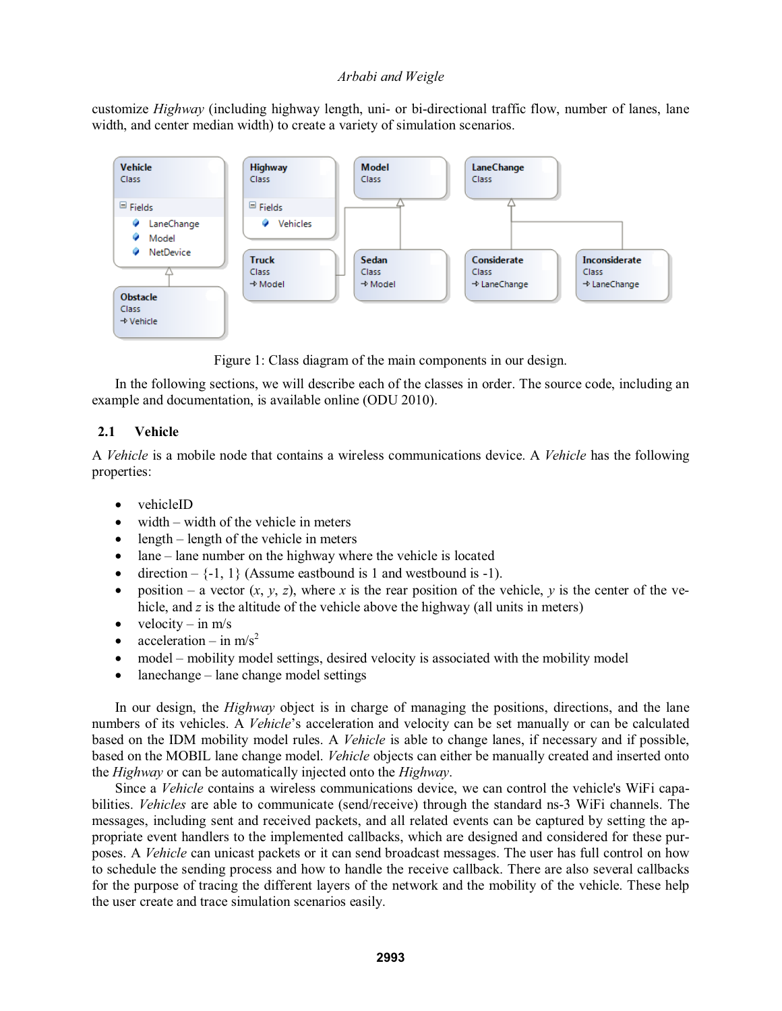customize *Highway* (including highway length, uni- or bi-directional traffic flow, number of lanes, lane width, and center median width) to create a variety of simulation scenarios.



Figure 1: Class diagram of the main components in our design.

In the following sections, we will describe each of the classes in order. The source code, including an example and documentation, is available online (ODU 2010).

## **2.1 Vehicle**

A *Vehicle* is a mobile node that contains a wireless communications device. A *Vehicle* has the following properties:

- $\bullet$ vehicleID
- $\bullet$ width  $-$  width of the vehicle in meters
- $\bullet$  $length - length of the vehicle in meters$
- $\bullet$  $l$ ane  $l$  lane number on the highway where the vehicle is located
- $\bullet$ direction  $-(-1, 1)$  (Assume eastbound is 1 and westbound is -1).
- $\bullet$ position – a vector  $(x, y, z)$ , where *x* is the rear position of the vehicle, *y* is the center of the vehicle, and *z* is the altitude of the vehicle above the highway (all units in meters)
- $\bullet$ velocity  $-$  in m/s
- $\bullet$ acceleration  $-$  in m/s<sup>2</sup>
- $\bullet$ model – mobility model settings, desired velocity is associated with the mobility model
- $\bullet$ lanechange – lane change model settings

In our design, the *Highway* object is in charge of managing the positions, directions, and the lane numbers of its vehicles. A *Vehicle's* acceleration and velocity can be set manually or can be calculated based on the IDM mobility model rules. A *Vehicle* is able to change lanes, if necessary and if possible, based on the MOBIL lane change model. *Vehicle* objects can either be manually created and inserted onto the *Highway* or can be automatically injected onto the *Highway*.

Since a *Vehicle* contains a wireless communications device, we can control the vehicle's WiFi capabilities. *Vehicles* are able to communicate (send/receive) through the standard ns-3 WiFi channels. The messages, including sent and received packets, and all related events can be captured by setting the appropriate event handlers to the implemented callbacks, which are designed and considered for these purposes. A *Vehicle* can unicast packets or it can send broadcast messages. The user has full control on how to schedule the sending process and how to handle the receive callback. There are also several callbacks for the purpose of tracing the different layers of the network and the mobility of the vehicle. These help the user create and trace simulation scenarios easily.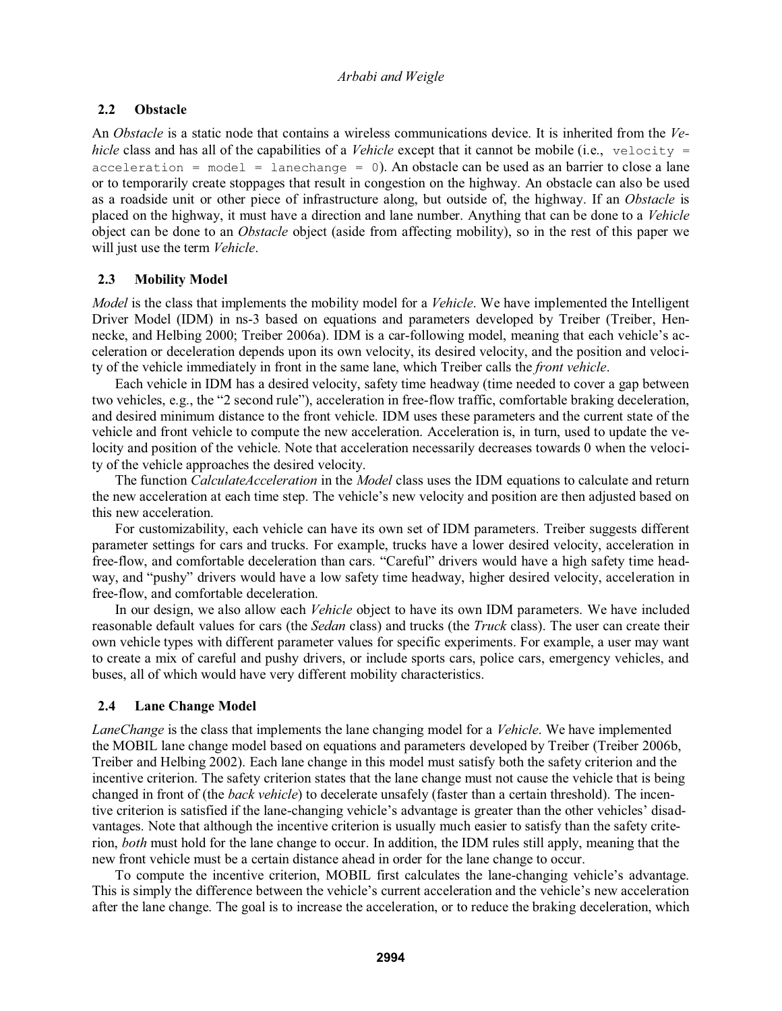### **2.2 Obstacle**

An *Obstacle* is a static node that contains a wireless communications device. It is inherited from the *Vehicle* class and has all of the capabilities of a *Vehicle* except that it cannot be mobile (i.e., velocity = acceleration =  $model = lanechange = 0$ . An obstacle can be used as an barrier to close a lane or to temporarily create stoppages that result in congestion on the highway. An obstacle can also be used as a roadside unit or other piece of infrastructure along, but outside of, the highway. If an *Obstacle* is placed on the highway, it must have a direction and lane number. Anything that can be done to a *Vehicle* object can be done to an *Obstacle* object (aside from affecting mobility), so in the rest of this paper we will just use the term *Vehicle*.

### **2.3 Mobility Model**

*Model* is the class that implements the mobility model for a *Vehicle*. We have implemented the Intelligent Driver Model (IDM) in ns-3 based on equations and parameters developed by Treiber (Treiber, Hennecke, and Helbing 2000; Treiber 2006a). IDM is a car-following model, meaning that each vehicle's acceleration or deceleration depends upon its own velocity, its desired velocity, and the position and velocity of the vehicle immediately in front in the same lane, which Treiber calls the *front vehicle*.

Each vehicle in IDM has a desired velocity, safety time headway (time needed to cover a gap between two vehicles, e.g., the "2 second rule"), acceleration in free-flow traffic, comfortable braking deceleration, and desired minimum distance to the front vehicle. IDM uses these parameters and the current state of the vehicle and front vehicle to compute the new acceleration. Acceleration is, in turn, used to update the velocity and position of the vehicle. Note that acceleration necessarily decreases towards 0 when the velocity of the vehicle approaches the desired velocity.

The function *CalculateAcceleration* in the *Model* class uses the IDM equations to calculate and return the new acceleration at each time step. The vehicle's new velocity and position are then adjusted based on this new acceleration.

For customizability, each vehicle can have its own set of IDM parameters. Treiber suggests different parameter settings for cars and trucks. For example, trucks have a lower desired velocity, acceleration in free-flow, and comfortable deceleration than cars. "Careful" drivers would have a high safety time headway, and "pushy" drivers would have a low safety time headway, higher desired velocity, acceleration in free-flow, and comfortable deceleration.

In our design, we also allow each *Vehicle* object to have its own IDM parameters. We have included reasonable default values for cars (the *Sedan* class) and trucks (the *Truck* class). The user can create their own vehicle types with different parameter values for specific experiments. For example, a user may want to create a mix of careful and pushy drivers, or include sports cars, police cars, emergency vehicles, and buses, all of which would have very different mobility characteristics.

### **2.4 Lane Change Model**

*LaneChange* is the class that implements the lane changing model for a *Vehicle*. We have implemented the MOBIL lane change model based on equations and parameters developed by Treiber (Treiber 2006b, Treiber and Helbing 2002). Each lane change in this model must satisfy both the safety criterion and the incentive criterion. The safety criterion states that the lane change must not cause the vehicle that is being changed in front of (the *back vehicle*) to decelerate unsafely (faster than a certain threshold). The incentive criterion is satisfied if the lane-changing vehicle's advantage is greater than the other vehicles' disadvantages. Note that although the incentive criterion is usually much easier to satisfy than the safety criterion, *both* must hold for the lane change to occur. In addition, the IDM rules still apply, meaning that the new front vehicle must be a certain distance ahead in order for the lane change to occur.

To compute the incentive criterion, MOBIL first calculates the lane  

 This is simply the difference between the vehicle's current acceleration and the vehicle's new acceleration after the lane change. The goal is to increase the acceleration, or to reduce the braking deceleration, which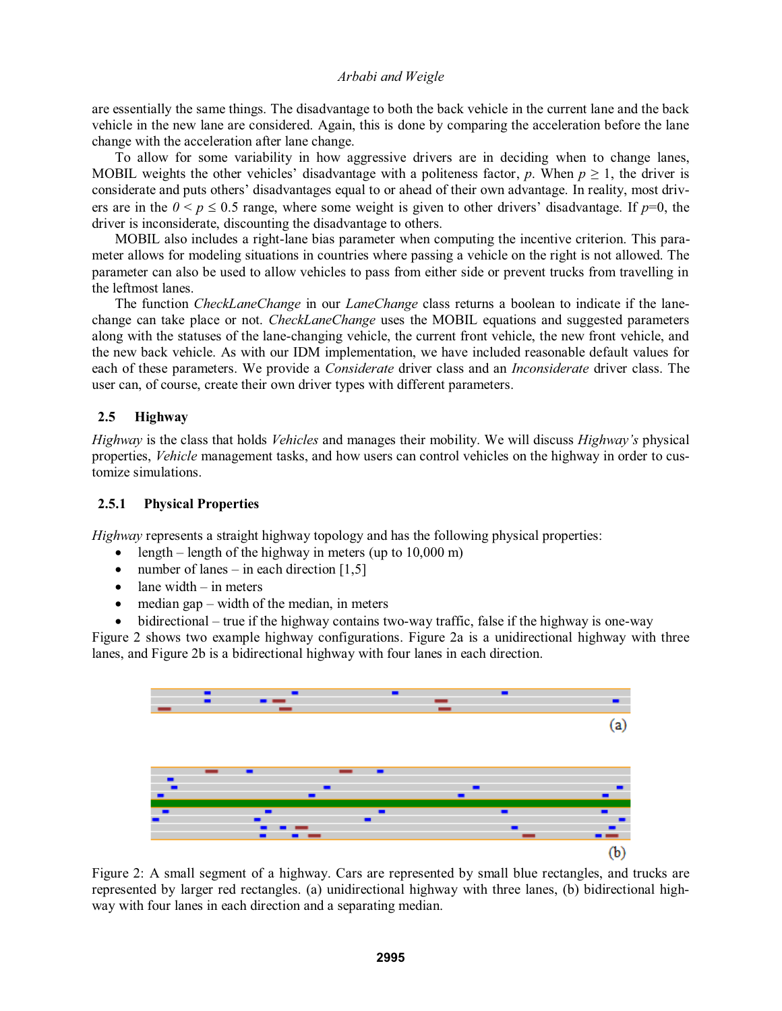are essentially the same things. The disadvantage to both the back vehicle in the current lane and the back vehicle in the new lane are considered. Again, this is done by comparing the acceleration before the lane change with the acceleration after lane change.

To allow for some variability in how aggressive drivers are in deciding when to change lanes, MOBIL weights the other vehicles' disadvantage with a politeness factor, p. When  $p \ge 1$ , the driver is considerate and puts others' disadvantages equal to or ahead of their own advantage. In reality, most drivers are in the  $0 \le p \le 0.5$  range, where some weight is given to other drivers' disadvantage. If  $p=0$ , the driver is inconsiderate, discounting the disadvantage to others.

MOBIL also includes a right-lane bias parameter when computing the incentive criterion. This parameter allows for modeling situations in countries where passing a vehicle on the right is not allowed. The parameter can also be used to allow vehicles to pass from either side or prevent trucks from travelling in the leftmost lanes.

The function *CheckLaneChange* in our *LaneChange* class returns a boolean to indicate if the lanechange can take place or not. *CheckLaneChange* uses the MOBIL equations and suggested parameters along with the statuses of the lane-changing vehicle, the current front vehicle, the new front vehicle, and the new back vehicle. As with our IDM implementation, we have included reasonable default values for each of these parameters. We provide a *Considerate* driver class and an *Inconsiderate* driver class. The user can, of course, create their own driver types with different parameters.

### **2.5 Highway**

Highway is the class that holds *Vehicles* and manages their mobility. We will discuss *Highway's* physical properties, *Vehicle* management tasks, and how users can control vehicles on the highway in order to customize simulations.

### **2.5.1 Physical Properties**

*Highway* represents a straight highway topology and has the following physical properties:

- $\bullet$  length length of the highway in meters (up to 10,000 m)
- $\bullet$  number of lanes in each direction [1,5]
- $\bullet$  lane width in meters
- median gap width of the median, in meters
- bidirectional  $-$  true if the highway contains two-way traffic, false if the highway is one-way

Figure 2 shows two example highway configurations. Figure 2a is a unidirectional highway with three lanes, and Figure 2b is a bidirectional highway with four lanes in each direction.



Figure 2: A small segment of a highway. Cars are represented by small blue rectangles, and trucks are represented by larger red rectangles. (a) unidirectional highway with three lanes, (b) bidirectional highway with four lanes in each direction and a separating median.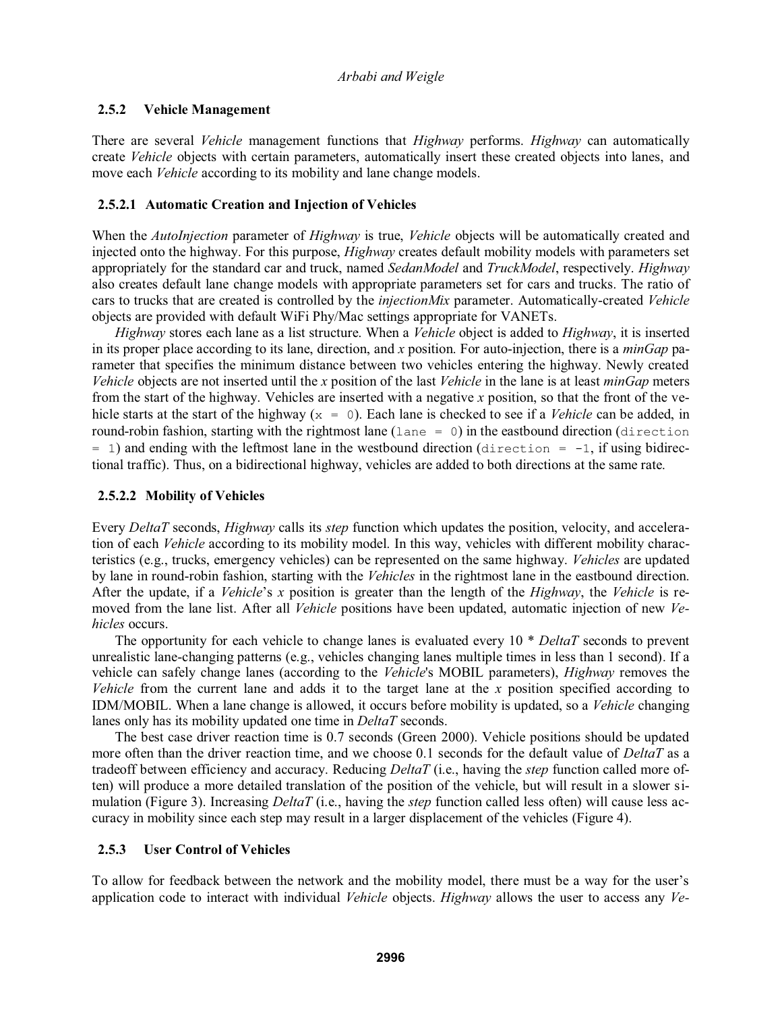### **2.5.2 Vehicle Management**

There are several *Vehicle* management functions that *Highway* performs. *Highway* can automatically create *Vehicle* objects with certain parameters, automatically insert these created objects into lanes, and move each *Vehicle* according to its mobility and lane change models.

### **2.5.2.1 Automatic Creation and Injection of Vehicles**

When the *AutoInjection* parameter of *Highway* is true, *Vehicle* objects will be automatically created and injected onto the highway. For this purpose, *Highway* creates default mobility models with parameters set appropriately for the standard car and truck, named *SedanModel* and *TruckModel*, respectively. *Highway* also creates default lane change models with appropriate parameters set for cars and trucks. The ratio of cars to trucks that are created is controlled by the *injectionMix* parameter. Automatically-created *Vehicle* objects are provided with default WiFi Phy/Mac settings appropriate for VANETs.

*Highway* stores each lane as a list structure. When a *Vehicle* object is added to *Highway*, it is inserted in its proper place according to its lane, direction, and *x* position. For auto-injection, there is a *minGap* parameter that specifies the minimum distance between two vehicles entering the highway. Newly created *Vehicle* objects are not inserted until the *x* position of the last *Vehicle* in the lane is at least *minGap* meters from the start of the highway. Vehicles are inserted with a negative *x* position, so that the front of the vehicle starts at the start of the highway ( $x = 0$ ). Each lane is checked to see if a *Vehicle* can be added, in round-robin fashion, starting with the rightmost lane (lane = 0) in the eastbound direction (direction  $= 1$ ) and ending with the leftmost lane in the westbound direction (direction  $= -1$ , if using bidirectional traffic). Thus, on a bidirectional highway, vehicles are added to both directions at the same rate.

### **2.5.2.2 Mobility of Vehicles**

Every *DeltaT* seconds, *Highway* calls its *step* function which updates the position, velocity, and acceleration of each *Vehicle* according to its mobility model. In this way, vehicles with different mobility characteristics (e.g., trucks, emergency vehicles) can be represented on the same highway. *Vehicles* are updated by lane in round-robin fashion, starting with the *Vehicles* in the rightmost lane in the eastbound direction. After the update, if a *Vehicle x* position is greater than the length of the *Highway*, the *Vehicle* is removed from the lane list. After all *Vehicle* positions have been updated, automatic injection of new *Vehicles* occurs.

The opportunity for each vehicle to change lanes is evaluated every 10 \* *DeltaT* seconds to prevent unrealistic lane-changing patterns (e.g., vehicles changing lanes multiple times in less than 1 second). If a vehicle can safely change lanes (according to the *Vehicle*'s MOBIL parameters), *Highway* removes the *Vehicle* from the current lane and adds it to the target lane at the *x* position specified according to IDM/MOBIL. When a lane change is allowed, it occurs before mobility is updated, so a *Vehicle* changing lanes only has its mobility updated one time in *DeltaT* seconds.

The best case driver reaction time is 0.7 seconds (Green 2000). Vehicle positions should be updated more often than the driver reaction time, and we choose 0.1 seconds for the default value of *DeltaT* as a tradeoff between efficiency and accuracy. Reducing *DeltaT* (i.e., having the *step* function called more often) will produce a more detailed translation of the position of the vehicle, but will result in a slower simulation (Figure 3). Increasing *DeltaT* (i.e., having the *step* function called less often) will cause less accuracy in mobility since each step may result in a larger displacement of the vehicles (Figure 4).

### **2.5.3 User Control of Vehicles**

To allow for feedback between the network and the mobility model, there must be a way for the user's application code to interact with individual *Vehicle* objects. *Highway* allows the user to access any *Ve-*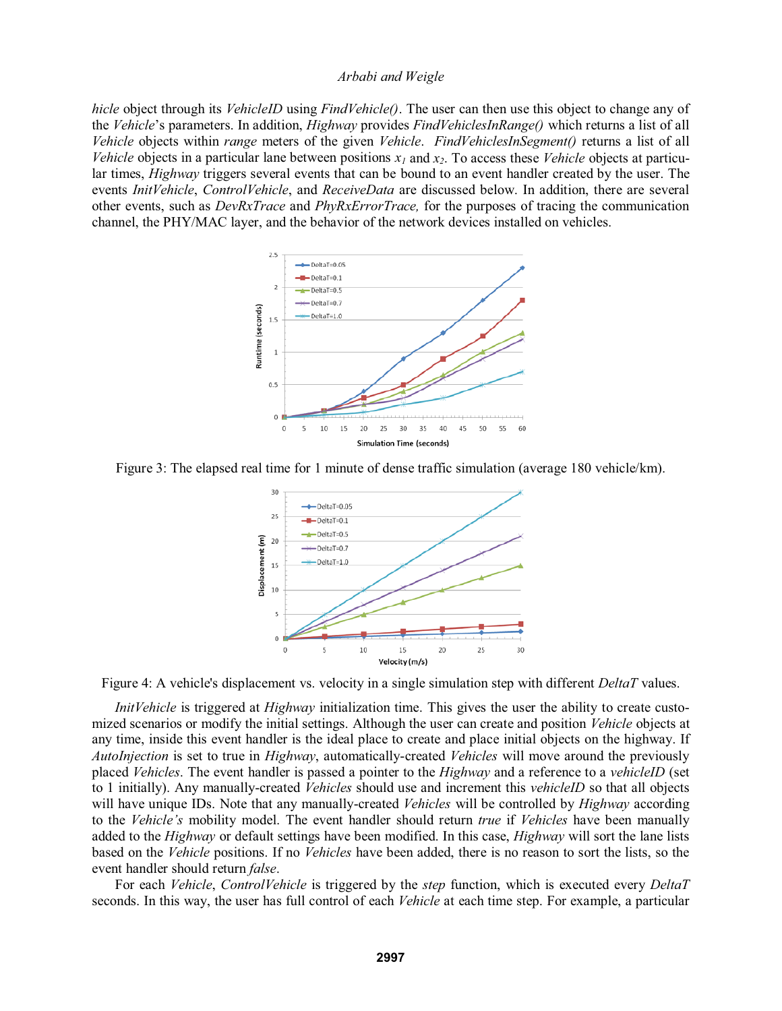*hicle* object through its *VehicleID* using *FindVehicle()*. The user can then use this object to change any of the Vehicle's parameters. In addition, *Highway* provides *FindVehiclesInRange()* which returns a list of all *Vehicle* objects within *range* meters of the given *Vehicle*. *FindVehiclesInSegment()* returns a list of all *Vehicle* objects in a particular lane between positions  $x_1$  and  $x_2$ . To access these *Vehicle* objects at particular times, *Highway* triggers several events that can be bound to an event handler created by the user. The events *InitVehicle*, *ControlVehicle*, and *ReceiveData* are discussed below. In addition, there are several other events, such as *DevRxTrace* and *PhyRxErrorTrace,* for the purposes of tracing the communication channel, the PHY/MAC layer, and the behavior of the network devices installed on vehicles.



Figure 3: The elapsed real time for 1 minute of dense traffic simulation (average 180 vehicle/km).



Figure 4: A vehicle's displacement vs. velocity in a single simulation step with different *DeltaT* values.

*InitVehicle* is triggered at *Highway* initialization time. This gives the user the ability to create customized scenarios or modify the initial settings. Although the user can create and position *Vehicle* objects at any time, inside this event handler is the ideal place to create and place initial objects on the highway. If *AutoInjection* is set to true in *Highway*, automatically-created *Vehicles* will move around the previously placed *Vehicles*. The event handler is passed a pointer to the *Highway* and a reference to a *vehicleID* (set to 1 initially). Any manually-created *Vehicles* should use and increment this *vehicleID* so that all objects will have unique IDs. Note that any manually-created *Vehicles* will be controlled by *Highway* according to the *Vehicle's* mobility model. The event handler should return *true* if *Vehicles* have been manually added to the *Highway* or default settings have been modified. In this case, *Highway* will sort the lane lists based on the *Vehicle* positions. If no *Vehicles* have been added, there is no reason to sort the lists, so the event handler should return *false*.

For each *Vehicle*, *ControlVehicle* is triggered by the *step* function, which is executed every *DeltaT* seconds. In this way, the user has full control of each *Vehicle* at each time step. For example, a particular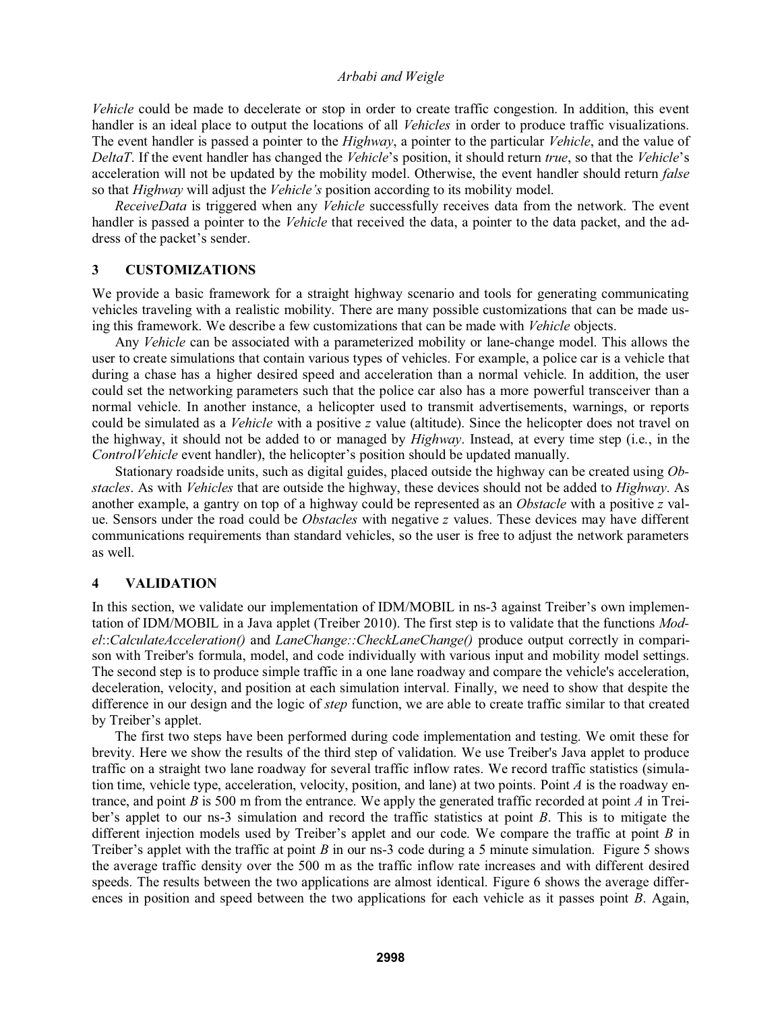*Vehicle* could be made to decelerate or stop in order to create traffic congestion. In addition, this event handler is an ideal place to output the locations of all *Vehicles* in order to produce traffic visualizations. The event handler is passed a pointer to the *Highway*, a pointer to the particular *Vehicle*, and the value of DeltaT. If the event handler has changed the *Vehicle's* position, it should return true, so that the Vehicle's acceleration will not be updated by the mobility model. Otherwise, the event handler should return *false* so that *Highway* will adjust the *Vehicle's* position according to its mobility model.

*ReceiveData* is triggered when any *Vehicle* successfully receives data from the network. The event handler is passed a pointer to the *Vehicle* that received the data, a pointer to the data packet, and the ad dress of the packet's sender.

### **3 CUSTOMIZATIONS**

We provide a basic framework for a straight highway scenario and tools for generating communicating vehicles traveling with a realistic mobility. There are many possible customizations that can be made using this framework. We describe a few customizations that can be made with *Vehicle* objects.

Any *Vehicle* can be associated with a parameterized mobility or lane-change model. This allows the user to create simulations that contain various types of vehicles. For example, a police car is a vehicle that during a chase has a higher desired speed and acceleration than a normal vehicle. In addition, the user could set the networking parameters such that the police car also has a more powerful transceiver than a normal vehicle. In another instance, a helicopter used to transmit advertisements, warnings, or reports could be simulated as a *Vehicle* with a positive *z* value (altitude). Since the helicopter does not travel on the highway, it should not be added to or managed by *Highway*. Instead, at every time step (i.e., in the ControlVehicle event handler), the helicopter's position should be updated manually.

Stationary roadside units, such as digital guides, placed outside the highway can be created using *Obstacles*. As with *Vehicles* that are outside the highway, these devices should not be added to *Highway*. As another example, a gantry on top of a highway could be represented as an *Obstacle* with a positive *z* value. Sensors under the road could be *Obstacles* with negative *z* values. These devices may have different communications requirements than standard vehicles, so the user is free to adjust the network parameters as well.

### **4 VALIDATION**

In this section, we validate our implementation of IDM/MOBIL in ns-3 against Treiber's own implementation of IDM/MOBIL in a Java applet (Treiber 2010). The first step is to validate that the functions *Model*::*CalculateAcceleration()* and *LaneChange::CheckLaneChange()* produce output correctly in comparison with Treiber's formula, model, and code individually with various input and mobility model settings. The second step is to produce simple traffic in a one lane roadway and compare the vehicle's acceleration, deceleration, velocity, and position at each simulation interval. Finally, we need to show that despite the difference in our design and the logic of *step* function, we are able to create traffic similar to that created by Treiber's applet.

The first two steps have been performed during code implementation and testing. We omit these for brevity. Here we show the results of the third step of validation. We use Treiber's Java applet to produce traffic on a straight two lane roadway for several traffic inflow rates. We record traffic statistics (simulation time, vehicle type, acceleration, velocity, position, and lane) at two points. Point *A* is the roadway entrance, and point *B* is 500 m from the entrance. We apply the generated traffic recorded at point *A* in Trei ber's applet to our ns-3 simulation and record the traffic statistics at point *B*. This is to mitigate the different injection models used by Treiber's applet and our code. We compare the traffic at point  $B$  in Treiber's applet with the traffic at point  $B$  in our ns-3 code during a 5 minute simulation. Figure 5 shows the average traffic density over the 500 m as the traffic inflow rate increases and with different desired speeds. The results between the two applications are almost identical. Figure 6 shows the average differences in position and speed between the two applications for each vehicle as it passes point *B*. Again,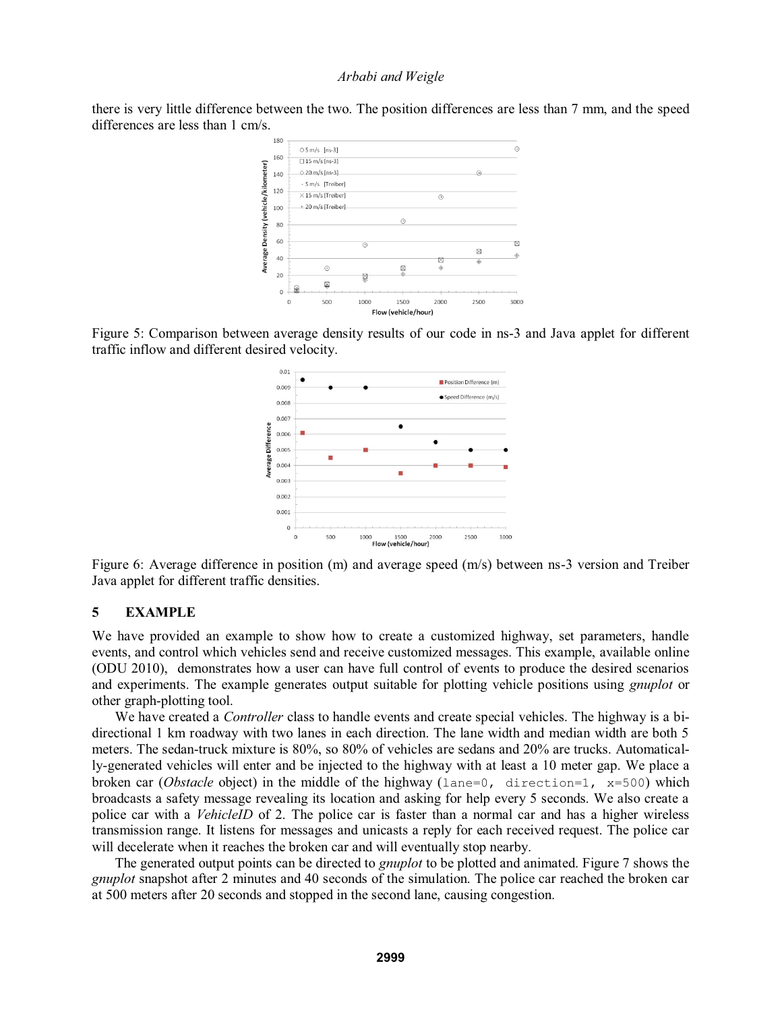there is very little difference between the two. The position differences are less than 7 mm, and the speed differences are less than 1 cm/s.



Figure 5: Comparison between average density results of our code in ns-3 and Java applet for different traffic inflow and different desired velocity.



Figure 6: Average difference in position (m) and average speed (m/s) between ns-3 version and Treiber Java applet for different traffic densities.

#### **5 EXAMPLE**

We have provided an example to show how to create a customized highway, set parameters, handle events, and control which vehicles send and receive customized messages. This example, available online (ODU 2010), demonstrates how a user can have full control of events to produce the desired scenarios and experiments. The example generates output suitable for plotting vehicle positions using *gnuplot* or other graph-plotting tool.

We have created a *Controller* class to handle events and create special vehicles. The highway is a bidirectional 1 km roadway with two lanes in each direction. The lane width and median width are both 5 meters. The sedan-truck mixture is 80%, so 80% of vehicles are sedans and 20% are trucks. Automatically-generated vehicles will enter and be injected to the highway with at least a 10 meter gap. We place a broken car (*Obstacle* object) in the middle of the highway (lane=0, direction=1, x=500) which broadcasts a safety message revealing its location and asking for help every 5 seconds. We also create a police car with a *VehicleID* of 2. The police car is faster than a normal car and has a higher wireless transmission range. It listens for messages and unicasts a reply for each received request. The police car will decelerate when it reaches the broken car and will eventually stop nearby.

The generated output points can be directed to *gnuplot* to be plotted and animated. Figure 7 shows the *gnuplot* snapshot after 2 minutes and 40 seconds of the simulation. The police car reached the broken car at 500 meters after 20 seconds and stopped in the second lane, causing congestion.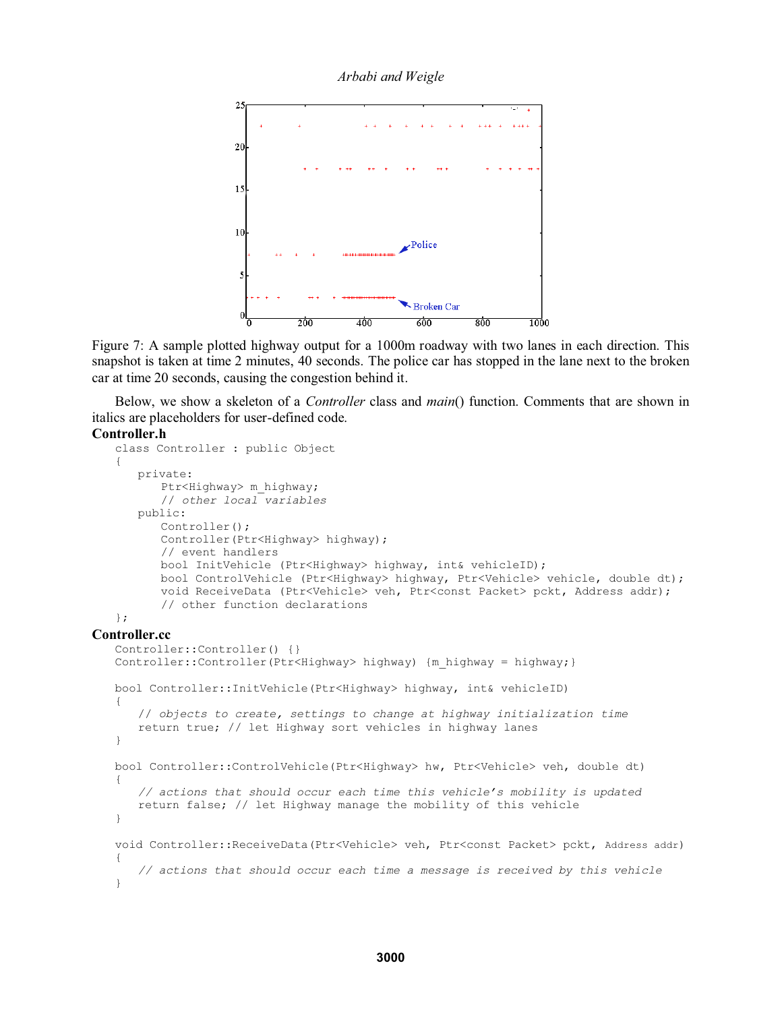*Arbabi and Weigle* 



Figure 7: A sample plotted highway output for a 1000m roadway with two lanes in each direction. This snapshot is taken at time 2 minutes, 40 seconds. The police car has stopped in the lane next to the broken car at time 20 seconds, causing the congestion behind it.

Below, we show a skeleton of a *Controller* class and *main*() function. Comments that are shown in italics are placeholders for user-defined code.

#### **Controller.h**

```
class Controller : public Object 
   { 
        private: 
          Ptr<Highway> m_highway;
           // other local variables
        public: 
           Controller(); 
          Controller(Ptr<Highway> highway);
           // event handlers 
           bool InitVehicle (Ptr<Highway> highway, int& vehicleID); 
           bool ControlVehicle (Ptr<Highway> highway, Ptr<Vehicle> vehicle, double dt); 
           void ReceiveData (Ptr<Vehicle> veh, Ptr<const Packet> pckt, Address addr); 
           // other function declarations 
   }; 
Controller.cc
   Controller::Controller() {} 
   Controller::Controller(Ptr<Highway> highway) {m highway = highway;}
   bool Controller::InitVehicle(Ptr<Highway> highway, int& vehicleID) 
   { 
        // objects to create, settings to change at highway initialization time
        return true; // let Highway sort vehicles in highway lanes 
   } 
   bool Controller::ControlVehicle(Ptr<Highway> hw, Ptr<Vehicle> veh, double dt) 
   { 
       // actions that should occur each time this vehicle's mobility is updated
        return false; // let Highway manage the mobility of this vehicle 
   } 
   void Controller::ReceiveData(Ptr<Vehicle> veh, Ptr<const Packet> pckt, Address addr) 
   { 
       // actions that should occur each time a message is received by this vehicle
   }
```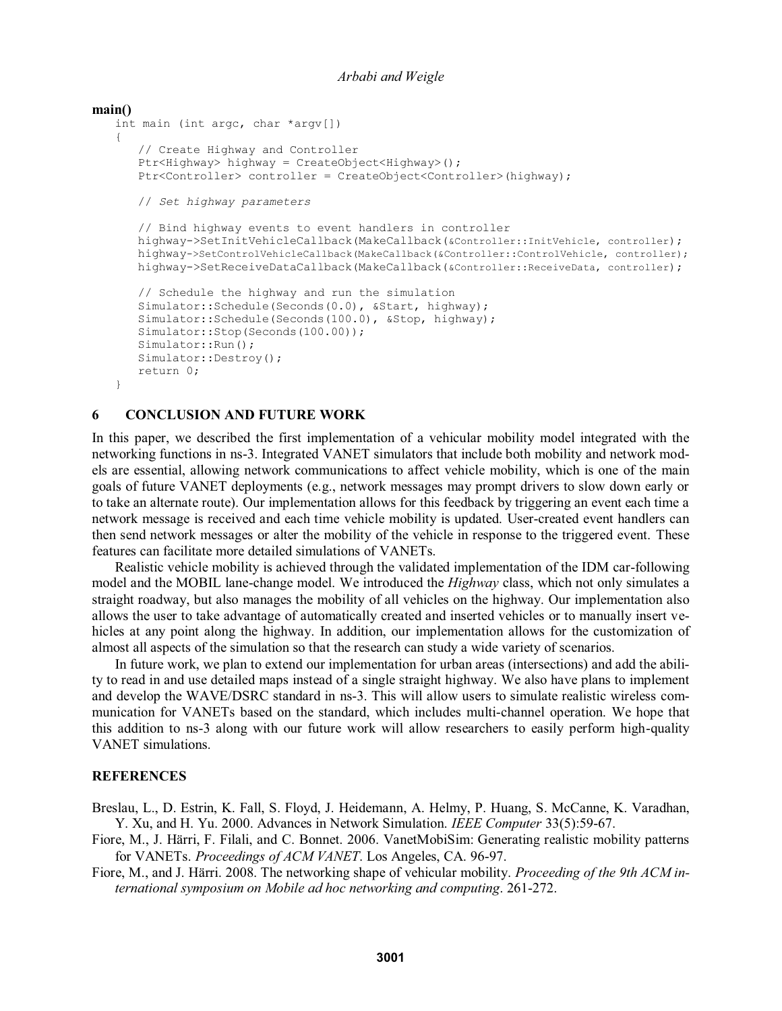```
main()
   int main (int argc, char *argv[]) 
   { 
        // Create Highway and Controller 
        Ptr<Highway> highway = CreateObject<Highway>(); 
        Ptr<Controller> controller = CreateObject<Controller>(highway); 
        // Set highway parameters
        // Bind highway events to event handlers in controller 
        highway->SetInitVehicleCallback(MakeCallback(&Controller::InitVehicle, controller); 
        highway->SetControlVehicleCallback(MakeCallback(&Controller::ControlVehicle, controller); 
       highway->SetReceiveDataCallback(MakeCallback(&Controller::ReceiveData, controller);
        // Schedule the highway and run the simulation 
        Simulator::Schedule(Seconds(0.0), &Start, highway); 
        Simulator::Schedule(Seconds(100.0), &Stop, highway); 
        Simulator::Stop(Seconds(100.00)); 
       Simulator:: Run();
        Simulator::Destroy(); 
        return 0;
```

```
}
```
### **6 CONCLUSION AND FUTURE WORK**

In this paper, we described the first implementation of a vehicular mobility model integrated with the networking functions in ns-3. Integrated VANET simulators that include both mobility and network models are essential, allowing network communications to affect vehicle mobility, which is one of the main goals of future VANET deployments (e.g., network messages may prompt drivers to slow down early or to take an alternate route). Our implementation allows for this feedback by triggering an event each time a network message is received and each time vehicle mobility is updated. User-created event handlers can then send network messages or alter the mobility of the vehicle in response to the triggered event. These features can facilitate more detailed simulations of VANETs.

Realistic vehicle mobility is achieved through the validated implementation of the IDM car-following model and the MOBIL lane-change model. We introduced the *Highway* class, which not only simulates a straight roadway, but also manages the mobility of all vehicles on the highway. Our implementation also allows the user to take advantage of automatically created and inserted vehicles or to manually insert vehicles at any point along the highway. In addition, our implementation allows for the customization of almost all aspects of the simulation so that the research can study a wide variety of scenarios.

In future work, we plan to extend our implementation for urban areas (intersections) and add the ability to read in and use detailed maps instead of a single straight highway. We also have plans to implement and develop the WAVE/DSRC standard in ns-3. This will allow users to simulate realistic wireless communication for VANETs based on the standard, which includes multi-channel operation. We hope that this addition to ns-3 along with our future work will allow researchers to easily perform high-quality VANET simulations.

### **REFERENCES**

Breslau, L., D. Estrin, K. Fall, S. Floyd, J. Heidemann, A. Helmy, P. Huang, S. McCanne, K. Varadhan, Y. Xu, and H. Yu. 2000. Advances in Network Simulation. *IEEE Computer* 33(5):59-67.

- Fiore, M., J. Härri, F. Filali, and C. Bonnet. 2006. VanetMobiSim: Generating realistic mobility patterns for VANETs. *Proceedings of ACM VANET*. Los Angeles, CA. 96-97.
- Fiore, M., and J. Härri. 2008. The networking shape of vehicular mobility. *Proceeding of the 9th ACM international symposium on Mobile ad hoc networking and computing*. 261-272.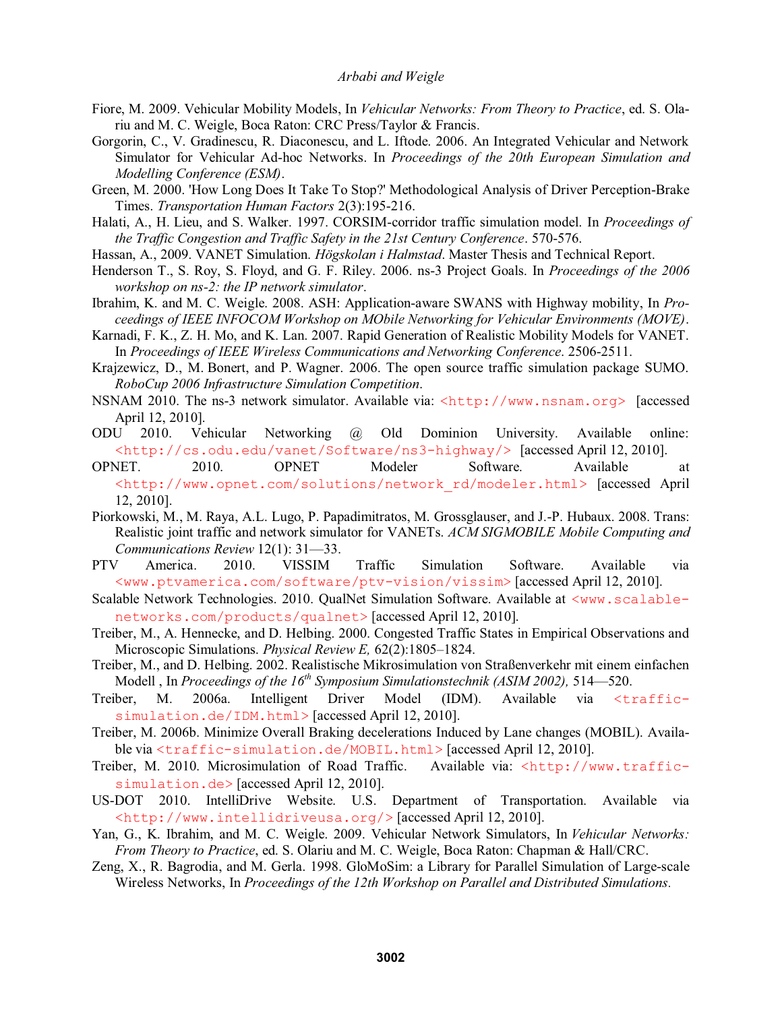- Fiore, M. 2009. Vehicular Mobility Models, In *Vehicular Networks: From Theory to Practice*, ed. S. Olariu and M. C. Weigle, Boca Raton: CRC Press/Taylor & Francis.
- Gorgorin, C., V. Gradinescu, R. Diaconescu, and L. Iftode. 2006. An Integrated Vehicular and Network Simulator for Vehicular Ad-hoc Networks. In *Proceedings of the 20th European Simulation and Modelling Conference (ESM)*.
- Green, M. 2000. 'How Long Does It Take To Stop?' Methodological Analysis of Driver Perception-Brake Times. *Transportation Human Factors* 2(3):195-216.
- Halati, A., H. Lieu, and S. Walker. 1997. CORSIM-corridor traffic simulation model. In *Proceedings of the Traffic Congestion and Traffic Safety in the 21st Century Conference*. 570-576.
- Hassan, A., 2009. VANET Simulation. *Högskolan i Halmstad*. Master Thesis and Technical Report.
- Henderson T., S. Roy, S. Floyd, and G. F. Riley. 2006. ns-3 Project Goals. In *Proceedings of the 2006 workshop on ns-2: the IP network simulator*.
- Ibrahim, K. and M. C. Weigle. 2008. ASH: Application-aware SWANS with Highway mobility, In *Proceedings of IEEE INFOCOM Workshop on MObile Networking for Vehicular Environments (MOVE)*.
- Karnadi, F. K., Z. H. Mo, and K. Lan. 2007. Rapid Generation of Realistic Mobility Models for VANET. In *Proceedings of IEEE Wireless Communications and Networking Conference*. 2506-2511.
- Krajzewicz, D., M. Bonert, and P. Wagner. 2006. The open source traffic simulation package SUMO. *RoboCup 2006 Infrastructure Simulation Competition*.
- NSNAM 2010. The ns-3 network simulator. Available via: <http://www.nsnam.org> [accessed April 12, 2010].
- ODU 2010. Vehicular Networking @ Old Dominion University. Available online: <http://cs.odu.edu/vanet/Software/ns3-highway/> [accessed April 12, 2010].
- OPNET. 2010. OPNET Modeler Software. Available at <http://www.opnet.com/solutions/network\_rd/modeler.html> [accessed April 12, 2010].
- Piorkowski, M., M. Raya, A.L. Lugo, P. Papadimitratos, M. Grossglauser, and J.-P. Hubaux. 2008. Trans: Realistic joint traffic and network simulator for VANETs. *ACM SIGMOBILE Mobile Computing and Communications Review* 12(1): 31—33.
- PTV America. 2010. VISSIM Traffic Simulation Software. Available via <www.ptvamerica.com/software/ptv-vision/vissim> [accessed April 12, 2010].
- Scalable Network Technologies. 2010. QualNet Simulation Software. Available at  $\lt$ www.scalablenetworks.com/products/qualnet> [accessed April 12, 2010].
- Treiber, M., A. Hennecke, and D. Helbing. 2000. Congested Traffic States in Empirical Observations and Microscopic Simulations. *Physical Review E*, 62(2):1805–1824.
- Treiber, M., and D. Helbing. 2002. Realistische Mikrosimulation von Straßenverkehr mit einem einfachen Modell, In *Proceedings of the 16<sup>th</sup> Symposium Simulationstechnik (ASIM 2002)*, 514-520.
- Treiber, M. 2006a. Intelligent Driver Model (IDM). Available via <trafficsimulation.de/IDM.html> [accessed April 12, 2010].
- Treiber, M. 2006b. Minimize Overall Braking decelerations Induced by Lane changes (MOBIL). Available via <traffic-simulation.de/MOBIL.html> [accessed April 12, 2010].
- Treiber, M. 2010. Microsimulation of Road Traffic. Available via: <http://www.trafficsimulation.de> [accessed April 12, 2010].
- US-DOT 2010. IntelliDrive Website. U.S. Department of Transportation. Available via <http://www.intellidriveusa.org/> [accessed April 12, 2010].
- Yan, G., K. Ibrahim, and M. C. Weigle. 2009. Vehicular Network Simulators, In *Vehicular Networks: From Theory to Practice*, ed. S. Olariu and M. C. Weigle, Boca Raton: Chapman & Hall/CRC.
- Zeng, X., R. Bagrodia, and M. Gerla. 1998. GloMoSim: a Library for Parallel Simulation of Large-scale Wireless Networks, In *Proceedings of the 12th Workshop on Parallel and Distributed Simulations.*